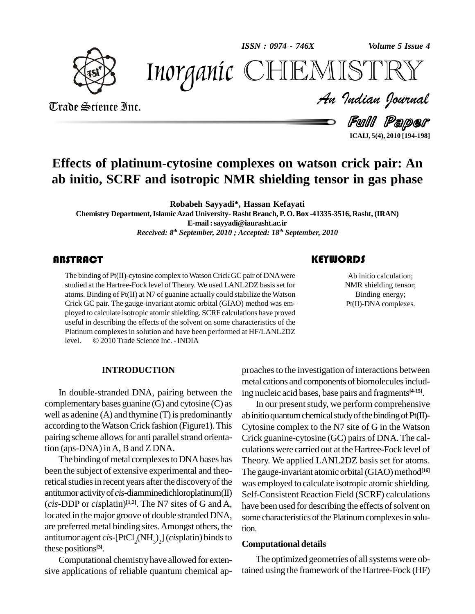*ISSN : 0974 - 746X*

*Volume 5 Issue 4*



*Volume 5 Issue 4*<br>ISTRY<br>Indian Iournal Inorganic CHEMISTRY

# Trade Science Inc. Trade Science Inc.

Full Paper **ICAIJ, 5(4), 2010 [194-198]**

# **Effects of platinum-cytosine complexes on watson crick pair: An ab initio, SCRF and isotropic NMR shielding tensor in gas phase**

**Robabeh Sayyadi\*, Hassan Kefayati**

**Chemistry Department,IslamicAzad University- RashtBranch, P. O. Box -41335-3516, Rasht, (IRAN) E-mail:[sayyadi@iaurasht.ac.ir](mailto:sayyadi@iaurasht.ac.ir)** *Received: 8 th September, 2010 ; Accepted: 18 th September, 2010*

# **ABSTRACT**

The binding of  $Pt(II)$ -cytos<br>studied at the Hartree-Focl<br>atoms. Binding of  $Pt(II)$  at The binding of Pt(II)-cytosine complex to Watson Crick GC pair of DNA were studied at the Hartree-Fock level of Theory. We used LANL2DZ basis set for atoms. Binding of Pt(II) at N7 of guanine actually could stabilize the Watson Crick GC pair. The gauge-invariant atomic orbital (GIAO) method was em ployed to calculate isotropic atomic shielding. SCRF calculations have proved useful in describing the effects of the solvent on some characteristics of the<br>Platinum complexes in solution and have been performed at HF/LANL2DZ<br>level. © 2010 Trade Science Inc. - INDIA Platinum complexes in solution and have been performed at HF/LANL2DZ

# **KEYWORDS**

Ab initio calcula<br>NMR shielding to<br>Binding energ Ab initio calculation; NMR shielding tensor; Binding energy; Pt(II)-DNA complexes.

### **INTRODUCTION**

In double-stranded DNA, pairing between the complementary bases guanine (G) and cytosine (C) as well as adenine  $(A)$  and thymine  $(T)$  is predominantly according to the Watson Crick fashion (Figure1). This pairing scheme allows for anti parallel strand orientation (aps-DNA) inA, B and Z DNA.

The binding of metal complexes to DNA bases has been the subject of extensive experimental and theoretical studies in recent years after the discovery of the antitumor activityof *cis*-diamminedichloroplatinum(II) (*cis*-DDP or *cis*platin) **[1,2]**. The N7 sites of G and A, located in the major groove of double stranded DNA, are preferredmetal binding sites.Amongst others, the antitumor agent *cis*-[PtCl<sub>2</sub>(NH<sub>3</sub>)<sub>2</sub>] (*cis*platin) binds to  $\epsilon$ these positions **[3]**.

Computational chemistryhave allowed for exten sive applications of reliable quantum chemical approaches to the investigation of interactions between metal cations and components of biomolecules including nucleic acid bases, base pairs and fragments **[4-15]**.

In our present study, we perform comprehensive ab initio quantum chemical study of the binding of  $Pt(II)$ -Cytosine complex to the N7 site of G in the Watson Crick guanine-cytosine (GC) pairs of DNA. The cal culations were carried out at the Hartree-Fock level of Theory. We applied LANL2DZ basis set for atoms. The gauge-invariant atomic orbital (GIAO) method<sup>[16]</sup> was employed to calculate isotropic atomic shielding. Self-Consistent Reaction Field (SCRF) calculations have been used for describing the effects of solvent on some characteristics of the Platinum complexes in solution.

#### **Computational details**

The optimized geometries of all systems were obtained using the framework of the Hartree-Fock (HF)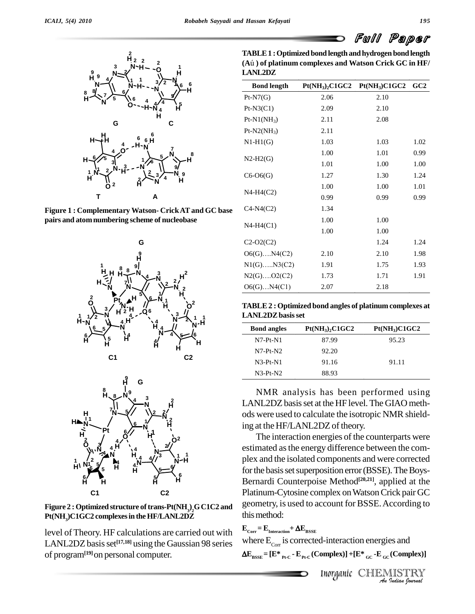

**Figure 1 : Complementary Watson- CrickATand GC base pairs and atomnumbering scheme of nucleobase**





**Figure** 2 **:** Optimized structure of trans-Pt(NH<sub>3</sub>)<sub>2</sub>G C1C2 and  $\frac{g}{d}$ **Pt(NH3)C1GC2 complexesin theHF/LANL2DZ**

level ofTheory. HF calculations are carried out with LANL2DZ basis set<sup>[17,18]</sup> using the Gaussian 98 series When of program**[19]**on personal computer.

**TABLE1 :Optimized bond length andhydrogen bondlength (A**˙ **) of platinum complexes and Watson Crick GC in HF/ LANL2DZ**

| <b>Bond length</b> | $Pt(NH_3)_2C1GC2$ | $Pt(NH_3)C1GC2$ GC2 |      |
|--------------------|-------------------|---------------------|------|
| $Pt-N7(G)$         | 2.06              | 2.10                |      |
| $Pt-N3(C1)$        | 2.09              | 2.10                |      |
| $Pt-N1(NH_3)$      | 2.11              | 2.08                |      |
| $Pt-N2(NH_3)$      | 2.11              |                     |      |
| $N1-H1(G)$         | 1.03              | 1.03                | 1.02 |
| $N2-H2(G)$         | 1.00              | 1.01                | 0.99 |
|                    | 1.01              | 1.00                | 1.00 |
| $C6-O6(G)$         | 1.27              | 1.30                | 1.24 |
| $N4-H4(C2)$        | 1.00              | 1.00                | 1.01 |
|                    | 0.99              | 0.99                | 0.99 |
| $C4-N4(C2)$        | 1.34              |                     |      |
|                    | 1.00              | 1.00                |      |
| $N4-H4(C1)$        | 1.00              | 1.00                |      |
| $C2-O2(C2)$        |                   | 1.24                | 1.24 |
| $O6(G)$ $N4(C2)$   | 2.10              | 2.10                | 1.98 |
| $N1(G)$ $N3(C2)$   | 1.91              | 1.75                | 1.93 |
| $N2(G)$ $O2(C2)$   | 1.73              | 1.71                | 1.91 |
| $O6(G)$ $N4(C1)$   | 2.07              | 2.18                |      |

| TABLE 2 : Optimized bond angles of platinum complexes at |  |
|----------------------------------------------------------|--|
| <b>LANL2DZ basis set</b>                                 |  |

| <b>Bond angles</b> | $Pt(NH_3)_2C1GC2$ | $Pt(NH_3)C1GC2$ |
|--------------------|-------------------|-----------------|
| $N7-Pt-N1$         | 87.99             | 95.23           |
| $N7-Pt-N2$         | 92.20             |                 |
| $N3-Pt-N1$         | 91.16             | 91.11           |
| $N3-Pt-N2$         | 88.93             |                 |

NMR analysis has been performed using LANL2DZ basis set at the HF level. The GIAO methods were used to calculate the isotropic NMR shielding at the HF/LANL2DZ of theory.

The interaction energies of the counterparts were estimated asthe energy difference between the com plex and the isolated components and were corrected for the basis set superposition error (BSSE). The Boys-Bernardi Counterpoise Method **[20,21]**, applied at the Platinum-Cytosine complex on Watson Crick pair GC geometry, is used to account forBSSE.According to this method:

# $\mathbf{E}_{\text{Corr}} = \mathbf{E}_{\text{Interaction}} + \Delta \mathbf{E}_{\text{BSSE}}$

**1-interaction energies and<br>
<b>Inorganic** CHEMISTRY<br> *Anorganic* CHEMISTRY where  $E_{Corr}$  is corrected-interaction energies and  $\mathbf{E}_{\text{BSSE}} = [\mathbf{E}^*]_{\text{Pt-C}} \cdot \mathbf{E}_{\text{Pt-C}}(\text{Complex})] + [\mathbf{E}^*]_{\text{GC}} \cdot \mathbf{E}_{\text{GC}}(\text{Complex})]$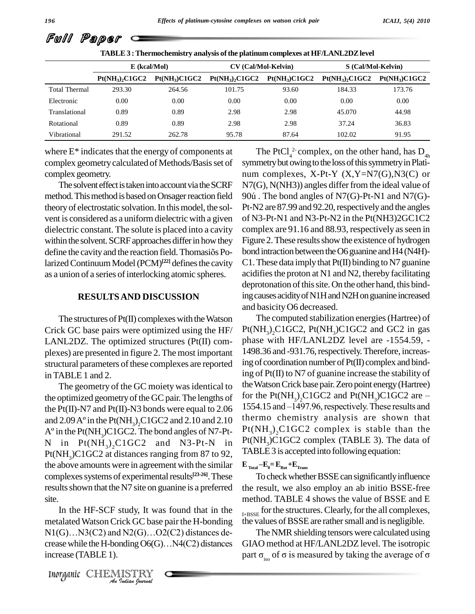|                      | <b>TABLE 3: Thermochemistry analysis of the platinum complexes at HF/LANL2DZ level</b> |                           |                   |                            |                    |                           |
|----------------------|----------------------------------------------------------------------------------------|---------------------------|-------------------|----------------------------|--------------------|---------------------------|
|                      |                                                                                        | $E$ (kcal/Mol)            |                   | <b>CV</b> (Cal/Mol-Kelvin) | S (Cal/Mol-Kelvin) |                           |
|                      | $Pt(NH_3), C1GC2$                                                                      | Pt(NH <sub>3</sub> )C1GC2 | $Pt(NH_3)_2C1GC2$ | $Pt(NH_3)C1GC2$            | $Pt(NH_3)_2C1GC2$  | Pt(NH <sub>3</sub> )C1GC2 |
| <b>Total Thermal</b> | 293.30                                                                                 | 264.56                    | 101.75            | 93.60                      | 184.33             | 173.76                    |
| Electronic           | 0.00                                                                                   | 0.00                      | 0.00              | 0.00                       | 0.00               | 0.00                      |
| Translational        | 0.89                                                                                   | 0.89                      | 2.98              | 2.98                       | 45.070             | 44.98                     |
| Rotational           | 0.89                                                                                   | 0.89                      | 2.98              | 2.98                       | 37.24              | 36.83                     |
| Vibrational          | 291.52                                                                                 | 262.78                    | 95.78             | 87.64                      | 102.02             | 91.95                     |

where  $E^*$  indicates that the energy of components at complex geometry calculated of Methods/Basis set of complex geometry.

The solvent effect is taken into account via the SCRF method. This method is based on Onsager reaction field 90ú. The bond angles of N7(G)-Pt-N1 and N7(G)theoryof electrostatic solvation.In thismodel, the sol vent is considered as a uniform dielectric with a given dielectric constant. The solute is placed into a cavity comple<br>within the solvent. SCRF approaches differ in how they Figure<br>define the cavity and the reaction field. Thomasiõs Po-bond in within the solvent. SCRF approaches differ in how they larized Continuum Model (PCM)<sup>[22]</sup> defines the cavity C1. The as a union of a series of interlocking atomic spheres.

#### **RESULTSAND DISCUSSION**

The structures of  $Pt(II)$  complexes with the Watson Crick GC base pairs were optimized using the HF/ LANL2DZ. The optimized structures (Pt(II) com plexes) are presented in figure 2. The most important structural parameters of these complexes are reported in TABLE 1 and 2.

The geometry of the GC moiety was identical to the Pt(II)-N7 and Pt(II)-N3 bonds were equal to  $2.06$  1554.1 the optimized geometry of the GC<br>the Pt(II)-N7 and Pt(II)-N3 bond<br>and 2.09 A° in the Pt(NH<sub>3</sub>)<sub>2</sub>C1GC and 2.09  $A^{\circ}$  in the Pt(NH<sub>3</sub>)<sub>2</sub>C1GC2 and 2.10 and 2.10<br> $A^{\circ}$  in the Pt(NH<sub>3</sub>)C1GC2. The bond angles of N7-Ptthe Pt(II)-N7 and Pt(II)-N3 bonds were equal to 2.06 155<br>and 2.09 A° in the Pt(NH<sub>3</sub>)<sub>2</sub>C1GC2 and 2.10 and 2.10 the<br>A° in the Pt(NH<sub>3</sub>)C1GC2. The bond angles of N7-Pt-<br>N in Pt(NH<sub>3</sub>)<sub>2</sub>C1GC2 and N3-Pt-N in Pt(1 in  $Pt(NH_3)$ , C1GC2 and N3-Pt-N in Pt(NH<sub>3</sub>)C1GC2 at distances ranging from 87 to 92, helphabel 3 is accepted<br>the above amounts were in agreement with the similar  $E_{\text{Total}} - E_0 = E_{\text{Rot}} + E_{\text{Trans}}$ complexes systems of experimental results<sup>[23-26]</sup>. These To results shown that the N7 site on guanine is a preferred

*Ansite.*<br>In the HF-SCF study, It was found that in the  $A_{H-BSSE}$  f In the TH BET state), It was found that<br>
Interactalated Watson Crick GC base pair the H-bo<br>
II(G)...N3(C2) and N2(G)...O2(C2) distance<br>
Interaction CHEMISTRY<br>
Interaction fournal<br> *Interganic* CHEMISTRY metalated Watson Crick GC base pair the H-bonding the value In the HF-SCF study, It was found that in the<br>metalated Watson Crick GC base pair the H-bonding the<br>N1(G)...N3(C2) and N2(G)...O2(C2) distances de- $N1(G) \dots N3(C2)$  and  $N2(G) \dots O2(C2)$  distances decrease while the H-bonding  $O6(G) \dots N4(C2)$  distances increase (TABLE 1).

The PtCl<sub>4</sub><sup>2</sup> complex, on the other hand, has  $D_{4h}$ symmetry but owing to the loss of this symmetry in Platinum complexes, X-Pt-Y (X,Y=N7(G),N3(C) or<br>N7(G), N(NH3)) angles differ from the ideal value of<br>90ú . The bond angles of N7(G)-Pt-N1 and N7(G)- $N7(G)$ ,  $N(NH3)$ ) angles differ from the ideal value of Pt-N2 are 87.99 and 92.20, respectively and the angles of N3-Pt-N1 and N3-Pt-N2 in the Pt(NH3)2GC1C2 complex are 91.16 and 88.93, respectively as seen in Figure 2. These results show the existence of hydrogen bond intraction between the O6 guanine and H4 (N4H)-C1. These data imply that  $Pf(I)$  binding to N7 guanine acidifies the proton at N1 and N2, thereby facilitating deprotonation of this site. On the other hand, this binding causes acidity of N1H and N2H on guanine increased and basicityO6 decreased.

the optimized geometry of the GC pair. The lengths of for the Pt( $NH_3$ )<sub>2</sub>CTGC2 and Pt( $NH_3$ )CTGC2 are –<br>the Pt(ID-N7 and Pt(ID-N3 bonds were equal to 2.06 1554.15 and –1497.96, respectively. These results and The computed stabilization energies(Hartree) of  $Pt(NH<sub>3</sub>)<sub>2</sub>C1GC2$ ,  $Pt(NH<sub>3</sub>)C1GC2$  and GC2 in gas phase with HF/LANL2DZ level are -1554.59, - 1498.36 and -931.76, respectively. Therefore, increasing of coordination number of  $Pt(II)$  complex and binding of Pt(II) to N7 of guanine increase the stability of theWatsonCrick base pair.Zero point energy(Hartree) for the Pt(NH<sub>3</sub>),C1GC2 and Pt(NH<sub>3</sub>)C1GC2 are  $-$ 17 of guanine increase the stability of<br>c base pair. Zero point energy (Hartree)<br> $_{2}C1GC2$  and  $Pt(NH_{3})C1GC2$  are  $$ the Watson Crick base pair. Zero point energy (Hartree)<br>for the Pt(NH<sub>3</sub>)<sub>2</sub>C1GC2 and Pt(NH<sub>3</sub>)C1GC2 are  $-$ <br>1554.15 and  $-1497.96$ , respectively. These results and thermo chemistry analysis are shown that  $Pt(NH_3)_2C1GC2$  complex is stable than the  $Pt(NH<sub>3</sub>)C1GC2$  complex (TABLE 3). The data of **EXAMPLE** 3 is accepted into following equation:<br>  $\mathbf{E}_{\text{Total}} - \mathbf{E}_0 = \mathbf{E}_{\text{Rot}} + \mathbf{E}_{\text{Trans}}$ 

To check whether BSSE can significantly influence the result, we also employ an ab initio BSSE-free method. TABLE 4 shows the value of BSSE and E  $I_{\rm HBSSE}$  for the structures. Clearly, for the all complexes, the values of BSSE are rather small and is negligible.

The NMR shielding tensors were calculated using GIAO method at HF/LANL2DZ level. The isotropic part  $\sigma_{\text{iso}}$  of  $\sigma$  is measured by taking the average of  $\sigma$ 

Full Paper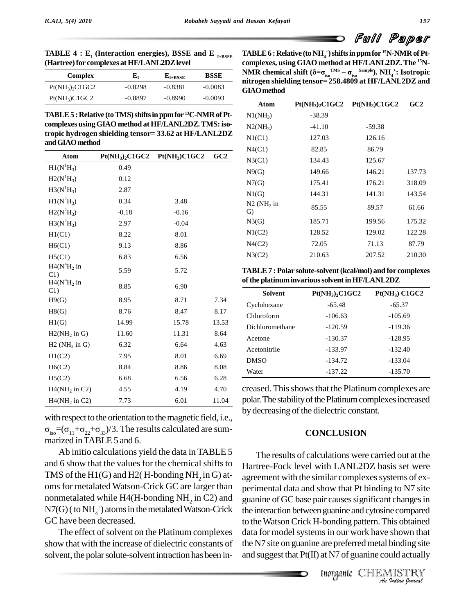Full Paper

**TABLE** 4 **:**  $E_1$  (Interaction energies), BSSE and E<sub>I+BSSE</sub> **(Hartree)for complexes atHF/LANL2DZlevel**

| Complex              | ${\bf E_I}$ | $E_{I+BSSE}$ | <b>BSSE</b> |
|----------------------|-------------|--------------|-------------|
| $Pt(NH_3)$ , $ClGC2$ | $-0.8298$   | $-0.8381$    | $-0.0083$   |
| $Pt(NH_3)C1GC2$      | $-0.8897$   | $-0.8990$    | $-0.0093$   |

**TABLE5 :Relative (toTMS)shiftsinppmfor <sup>13</sup>C-NMRofPt complexes usingGIAO method at HF/LANL2DZ.TMS:isotropic hydrogen shielding tensor= 33.62 at HF/LANL2DZ andGIAOmethod**

| Atom                        | $Pt(NH_3)_2C1GC2$ | $Pt(NH_3)C1GC2$ | GC2   |
|-----------------------------|-------------------|-----------------|-------|
| $H1(N^1H_3)$                | 0.49              |                 |       |
| $H2(N^1H_3)$                | 0.12              |                 |       |
| $H3(N^1H_3)$                | 2.87              |                 |       |
| $H1(N^2H_3)$                | 0.34              | 3.48            |       |
| $H2(N^2H_3)$                | $-0.18$           | $-0.16$         |       |
| $H3(N^2H_3)$                | 2.97              | $-0.04$         |       |
| H1(C1)                      | 8.22              | 8.01            |       |
| H6(C1)                      | 9.13              | 8.86            |       |
| H5(C1)                      | 6.83              | 6.56            |       |
| $H4(N4H2)$ in<br>C1         | 5.59              | 5.72            |       |
| $H4(N4H2)$ in<br>C1         | 8.85              | 6.90            |       |
| H9(G)                       | 8.95              | 8.71            | 7.34  |
| H8(G)                       | 8.76              | 8.47            | 8.17  |
| H1(G)                       | 14.99             | 15.78           | 13.53 |
| $H2(NH2$ in G)              | 11.60             | 11.31           | 8.64  |
| $H2$ (NH <sub>2</sub> in G) | 6.32              | 6.64            | 4.63  |
| H1(C2)                      | 7.95              | 8.01            | 6.69  |
| H6(C2)                      | 8.84              | 8.86            | 8.08  |
| H5(C2)                      | 6.68              | 6.56            | 6.28  |
| $H4(NH2$ in C2)             | 4.55              | 4.19            | 4.70  |
| $H4(NH2$ in C2)             | 7.73              | 6.01            | 11.04 |

with respect to the orientation to the magnetic field, i.e.,  $\sigma_{iso} = (\sigma_{11} + \sigma_{22} + \sigma_{33})/3$ . The results calculated are sum-<br>marized in TABLE 5 and 6.

Ab initio calculations yield the data in TABLE 5 and 6 show that the values for the chemical shifts to TMS of the H1(G) and H2( H-bonding NH<sub>2</sub> in G) atoms for metalated Watson-Crick GC are larger than nonmetalated while H4(H-bonding NH<sub>2</sub> in C2) and guanin  $N7(G)$  (to  $NH<sub>4</sub>$ +) atoms in the metalated Watson-Crick GC have been decreased.

The effect of solvent on the Platinum complexes show that with the increase of dielectric constants of solvent, the polar solute-solvent intraction has been in-

**TABLE6 :Relative (toNH4+)shiftsinppmfor <sup>15</sup>N-NMRofPt complexes, using GIAO method at HF/LANL2DZ.The <sup>15</sup>N- NMR** of Pt-complexes, using GIAO method at HF/LANL2DZ. The <sup>15</sup>N-Complexes, using GIAO method at HF/LANL2DZ. The <sup>15</sup>N-COMPLEX PH/MR chemical shift ( $\delta = \sigma_{\rm iso}^{\rm TMS} - \sigma_{\rm iso}^{\rm Sample})$ . NH<sub>4</sub>+: Isotropic **nitrogen shielding tensor= 258.4809 at HF/LANL2DZand GIAOmethod**

| Atom                  | $Pt(NH_3)_2C1GC2$ | $Pt(NH_3)C1GC2$ | GC2    |
|-----------------------|-------------------|-----------------|--------|
| $NI(NH_3)$            | $-38.39$          |                 |        |
| $N2(NH_3)$            | $-41.10$          | $-59.38$        |        |
| NI(Cl)                | 127.03            | 126.16          |        |
| N4(C1)                | 82.85             | 86.79           |        |
| N3(C1)                | 134.43            | 125.67          |        |
| N9(G)                 | 149.66            | 146.21          | 137.73 |
| N7(G)                 | 175.41            | 176.21          | 318.09 |
| N1(G)                 | 144.31            | 141.31          | 143.54 |
| $N2$ ( $NH2$ in<br>G) | 85.55             | 89.57           | 61.66  |
| N3(G)                 | 185.71            | 199.56          | 175.32 |
| N1(C2)                | 128.52            | 129.02          | 122.28 |
| N4(C2)                | 72.05             | 71.13           | 87.79  |
| N3(C2)                | 210.63            | 207.52          | 210.30 |

**TABLE7 : Polar solute-solvent(kcal/mol) and for complexes ofthe platinuminvarioussolventinHF/LANL2DZ**

| Solvent         | $Pt(NH3)$ , $C1GC2$ | Pt(NH <sub>3</sub> ) C1GC2 |
|-----------------|---------------------|----------------------------|
| Cyclohexane     | $-65.48$            | $-65.37$                   |
| Chloroform      | $-106.63$           | $-105.69$                  |
| Dichloromethane | $-120.59$           | $-119.36$                  |
| Acetone         | $-130.37$           | $-128.95$                  |
| Acetonitrile    | $-133.97$           | $-132.40$                  |
| <b>DMSO</b>     | $-134.72$           | $-133.04$                  |
| Water           | $-137.22$           | $-135.70$                  |

creased. This shows that the Platinum complexes are polar. The stability of the Platinum complexes increased by decreasing of the dielectric constant.

### **CONCLUSION**

**Example and Cylosine compared**<br>In our work have shown that<br>are preferred metal binding site<br>at N7 of guanine could actually<br>Inorganic CHEMISTRY the interaction between guanine and cytosine compared The results of calculations were carried out at the Hartree-Fock level with LANL2DZ basis set were agreement with the similar complexes systems of experimental data and show that Pt binding to N7 site guanine of GC base pair causes significant changes in to theWatsonCrick H-bonding pattern.This obtained data for model systems in our work have shown that the N7 site on guanine are preferred metal binding site and suggest that  $Pt(II)$  at N7 of guanine could actually